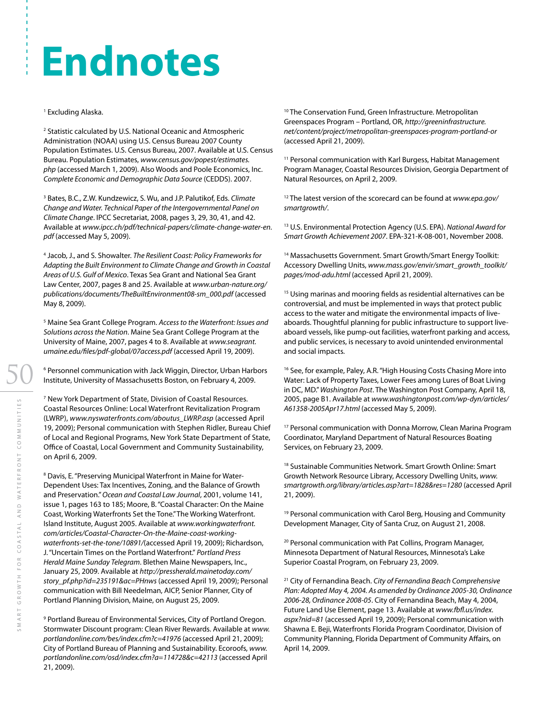## **Endnotes**

## 1 Excluding Alaska.

<sup>2</sup> Statistic calculated by U.S. National Oceanic and Atmospheric Administration (NOAA) using U.S. Census Bureau 2007 County Population Estimates. U.S. Census Bureau, 2007. Available at U.S. Census Bureau. Population Estimates, *www.census.gov/popest/estimates. php* (accessed March 1, 2009). Also Woods and Poole Economics, Inc. *Complete Economic and Demographic Data Source* (CEDDS). 2007.

3 Bates, B.C., Z.W. Kundzewicz, S. Wu, and J.P. Palutikof, Eds. *Climate Change and Water. Technical Paper of the Intergovernmental Panel on Climate Change*. IPCC Secretariat, 2008, pages 3, 29, 30, 41, and 42. Available at *www.ipcc.ch/pdf/technical-papers/climate-change-water-en. pdf* (accessed May 5, 2009).

4 Jacob, J., and S. Showalter. *The Resilient Coast: Policy Frameworks for Adapting the Built Environment to Climate Change and Growth in Coastal Areas of U.S. Gulf of Mexico*. Texas Sea Grant and National Sea Grant Law Center, 2007, pages 8 and 25. Available at *www.urban-nature.org/ publications/documents/TheBuiltEnvironment08-sm\_000.pdf* (accessed May 8, 2009).

5 Maine Sea Grant College Program. *Access to the Waterfront: Issues and Solutions across the Nation*. Maine Sea Grant College Program at the University of Maine, 2007, pages 4 to 8. Available at *www.seagrant. umaine.edu/files/pdf-global/07access.pdf* (accessed April 19, 2009).

<sup>6</sup> Personnel communication with Jack Wiggin, Director, Urban Harbors Institute, University of Massachusetts Boston, on February 4, 2009.

7 New York Department of State, Division of Coastal Resources. Coastal Resources Online: Local Waterfront Revitalization Program (LWRP), *www.nyswaterfronts.com/aboutus\_LWRP.asp* (accessed April 19, 2009); Personal communication with Stephen Ridler, Bureau Chief of Local and Regional Programs, New York State Department of State, Office of Coastal, Local Government and Community Sustainability, on April 6, 2009.

<sup>8</sup> Davis, E. "Preserving Municipal Waterfront in Maine for Water-Dependent Uses: Tax Incentives, Zoning, and the Balance of Growth and Preservation." *Ocean and Coastal Law Journal*, 2001, volume 141, issue 1, pages 163 to 185; Moore, B. "Coastal Character: On the Maine Coast, Working Waterfronts Set the Tone." The Working Waterfront. Island Institute, August 2005. Available at *www.workingwaterfront. com/articles/Coastal-Character-On-the-Maine-coast-workingwaterfronts-set-the-tone/10891/*(accessed April 19, 2009); Richardson, J. "Uncertain Times on the Portland Waterfront." *Portland Press Herald Maine Sunday Telegram*. Blethen Maine Newspapers, Inc., January 25, 2009. Available at *http://pressherald.mainetoday.com/ story\_pf.php?id=235191&ac=PHnws* (accessed April 19, 2009); Personal communication with Bill Needelman, AICP, Senior Planner, City of Portland Planning Division, Maine, on August 25, 2009.

<sup>9</sup> Portland Bureau of Environmental Services, City of Portland Oregon. Stormwater Discount program: Clean River Rewards. Available at *www. portlandonline.com/bes/index.cfm?c=41976* (accessed April 21, 2009); City of Portland Bureau of Planning and Sustainability. Ecoroofs, *www. portlandonline.com/osd/index.cfm?a=114728&c=42113* (accessed April 21, 2009).

<sup>10</sup> The Conservation Fund, Green Infrastructure. Metropolitan Greenspaces Program – Portland, OR, *http://greeninfrastructure. net/content/project/metropolitan-greenspaces-program-portland-or* (accessed April 21, 2009).

<sup>11</sup> Personal communication with Karl Burgess, Habitat Management Program Manager, Coastal Resources Division, Georgia Department of Natural Resources, on April 2, 2009.

12 The latest version of the scorecard can be found at *www.epa.gov/ smartgrowth/*.

13 U.S. Environmental Protection Agency (U.S. EPA). *National Award for Smart Growth Achievement 2007*. EPA-321-K-08-001, November 2008.

<sup>14</sup> Massachusetts Government. Smart Growth/Smart Energy Toolkit: Accessory Dwelling Units, *www.mass.gov/envir/smart\_growth\_toolkit/ pages/mod-adu.html* (accessed April 21, 2009).

<sup>15</sup> Using marinas and mooring fields as residential alternatives can be controversial, and must be implemented in ways that protect public access to the water and mitigate the environmental impacts of liveaboards. Thoughtful planning for public infrastructure to support liveaboard vessels, like pump-out facilities, waterfront parking and access, and public services, is necessary to avoid unintended environmental and social impacts.

<sup>16</sup> See, for example, Paley, A.R. "High Housing Costs Chasing More into Water: Lack of Property Taxes, Lower Fees among Lures of Boat Living in DC, MD." *Washington Post*. The Washington Post Company, April 18, 2005, page B1. Available at *www.washingtonpost.com/wp-dyn/articles/ A61358-2005Apr17.html* (accessed May 5, 2009).

<sup>17</sup> Personal communication with Donna Morrow, Clean Marina Program Coordinator, Maryland Department of Natural Resources Boating Services, on February 23, 2009.

<sup>18</sup> Sustainable Communities Network. Smart Growth Online: Smart Growth Network Resource Library, Accessory Dwelling Units, *www. smartgrowth.org/library/articles.asp?art=1828&res=1280* (accessed April 21, 2009).

<sup>19</sup> Personal communication with Carol Berg, Housing and Community Development Manager, City of Santa Cruz, on August 21, 2008.

<sup>20</sup> Personal communication with Pat Collins, Program Manager, Minnesota Department of Natural Resources, Minnesota's Lake Superior Coastal Program, on February 23, 2009.

21 City of Fernandina Beach. *City of Fernandina Beach Comprehensive Plan: Adopted May 4, 2004. As amended by Ordinance 2005-30, Ordinance 2006-28, Ordinance 2008-05*. City of Fernandina Beach, May 4, 2004, Future Land Use Element, page 13. Available at *www.fbfl.us/index. aspx?nid=81* (accessed April 19, 2009); Personal communication with Shawna E. Beji, Waterfronts Florida Program Coordinator, Division of Community Planning, Florida Department of Community Affairs, on April 14, 2009.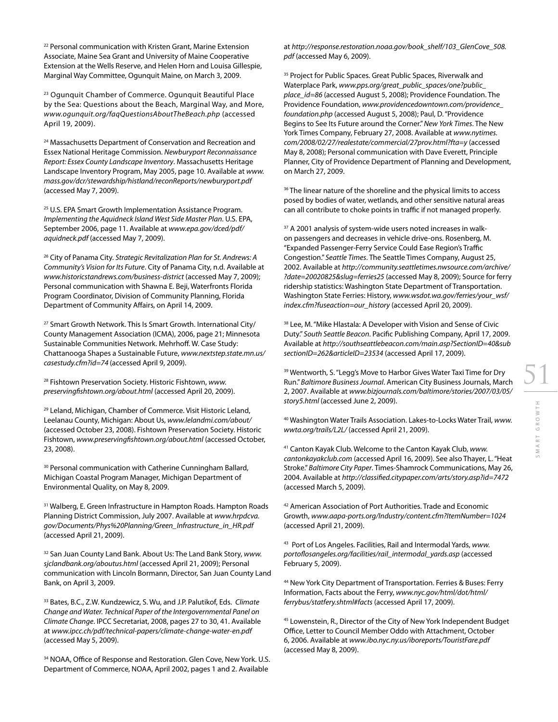<sup>22</sup> Personal communication with Kristen Grant, Marine Extension Associate, Maine Sea Grant and University of Maine Cooperative Extension at the Wells Reserve, and Helen Horn and Louisa Gillespie, Marginal Way Committee, Ogunquit Maine, on March 3, 2009.

23 Ogunquit Chamber of Commerce. Ogunquit Beautiful Place by the Sea: Questions about the Beach, Marginal Way, and More, *www.ogunquit.org/faqQuestionsAboutTheBeach.php* (accessed April 19, 2009).

<sup>24</sup> Massachusetts Department of Conservation and Recreation and Essex National Heritage Commission. *Newburyport Reconnaissance Report: Essex County Landscape Inventory*. Massachusetts Heritage Landscape Inventory Program, May 2005, page 10. Available at *www. mass.gov/dcr/stewardship/histland/reconReports/newburyport.pdf* (accessed May 7, 2009).

<sup>25</sup> U.S. EPA Smart Growth Implementation Assistance Program. *Implementing the Aquidneck Island West Side Master Plan*. U.S. EPA, September 2006, page 11. Available at *www.epa.gov/dced/pdf/ aquidneck.pdf* (accessed May 7, 2009).

26 City of Panama City. *Strategic Revitalization Plan for St. Andrews: A Community's Vision for Its Future*. City of Panama City, n.d. Available at *www.historicstandrews.com/business-district* (accessed May 7, 2009); Personal communication with Shawna E. Beji, Waterfronts Florida Program Coordinator, Division of Community Planning, Florida Department of Community Affairs, on April 14, 2009.

<sup>27</sup> Smart Growth Network. This Is Smart Growth. International City/ County Management Association (ICMA), 2006, page 21; Minnesota Sustainable Communities Network. Mehrhoff. W. Case Study: Chattanooga Shapes a Sustainable Future, *www.nextstep.state.mn.us/ casestudy.cfm?id=74* (accessed April 9, 2009).

28 Fishtown Preservation Society. Historic Fishtown, *www. preservingfishtown.org/about.html* (accessed April 20, 2009).

29 Leland, Michigan, Chamber of Commerce. Visit Historic Leland, Leelanau County, Michigan: About Us, *www.lelandmi.com/about/*  (accessed October 23, 2008). Fishtown Preservation Society. Historic Fishtown, *www.preservingfishtown.org/about.html* (accessed October, 23, 2008).

<sup>30</sup> Personal communication with Catherine Cunningham Ballard, Michigan Coastal Program Manager, Michigan Department of Environmental Quality, on May 8, 2009.

<sup>31</sup> Walberg, E. Green Infrastructure in Hampton Roads. Hampton Roads Planning District Commission, July 2007. Available at *www.hrpdcva. gov/Documents/Phys%20Planning/Green\_Infrastructure\_in\_HR.pdf*  (accessed April 21, 2009).

32 San Juan County Land Bank. About Us: The Land Bank Story, *www. sjclandbank.org/aboutus.html* (accessed April 21, 2009); Personal communication with Lincoln Bormann, Director, San Juan County Land Bank, on April 3, 2009.

33 Bates, B.C., Z.W. Kundzewicz, S. Wu, and J.P. Palutikof, Eds. *Climate Change and Water. Technical Paper of the Intergovernmental Panel on Climate Change*. IPCC Secretariat, 2008, pages 27 to 30, 41. Available at *www.ipcc.ch/pdf/technical-papers/climate-change-water-en.pdf* (accessed May 5, 2009).

<sup>34</sup> NOAA, Office of Response and Restoration. Glen Cove, New York. U.S. Department of Commerce, NOAA, April 2002, pages 1 and 2. Available

at *http://response.restoration.noaa.gov/book\_shelf/103\_GlenCove\_508. pdf* (accessed May 6, 2009).

<sup>35</sup> Project for Public Spaces. Great Public Spaces, Riverwalk and Waterplace Park, *www.pps.org/great\_public\_spaces/one?public\_ place\_id=86* (accessed August 5, 2008); Providence Foundation. The Providence Foundation, *www.providencedowntown.com/providence\_ foundation.php* (accessed August 5, 2008); Paul, D. "Providence Begins to See Its Future around the Corner." *New York Times*. The New York Times Company, February 27, 2008. Available at *www.nytimes. com/2008/02/27/realestate/commercial/27prov.html?fta=y* (accessed May 8, 2008); Personal communication with Dave Everett, Principle Planner, City of Providence Department of Planning and Development, on March 27, 2009.

<sup>36</sup> The linear nature of the shoreline and the physical limits to access posed by bodies of water, wetlands, and other sensitive natural areas can all contribute to choke points in traffic if not managed properly.

<sup>37</sup> A 2001 analysis of system-wide users noted increases in walkon passengers and decreases in vehicle drive-ons. Rosenberg, M. "Expanded Passenger-Ferry Service Could Ease Region's Traffic Congestion." *Seattle Times*. The Seattle Times Company, August 25, 2002. Available at *http://community.seattletimes.nwsource.com/archive/ ?date=20020825&slug=ferries25* (accessed May 8, 2009); Source for ferry ridership statistics: Washington State Department of Transportation. Washington State Ferries: History, *www.wsdot.wa.gov/ferries/your\_wsf/ index.cfm?fuseaction=our\_history* (accessed April 20, 2009).

<sup>38</sup> Lee, M. "Mike Hlastala: A Developer with Vision and Sense of Civic Duty." *South Seattle Beacon*. Pacific Publishing Company, April 17, 2009. Available at *http://southseattlebeacon.com/main.asp?SectionID=40&sub sectionID=262&articleID=23534* (accessed April 17, 2009).

<sup>39</sup> Wentworth, S. "Legg's Move to Harbor Gives Water Taxi Time for Dry Run." *Baltimore Business Journal*. American City Business Journals, March 2, 2007. Available at *www.bizjournals.com/baltimore/stories/2007/03/05/ story5.html* (accessed June 2, 2009).

40 Washington Water Trails Association. Lakes-to-Locks Water Trail, *www. wwta.org/trails/L2L/* (accessed April 21, 2009).

41 Canton Kayak Club. Welcome to the Canton Kayak Club, *www. cantonkayakclub.com* (accessed April 16, 2009). See also Thayer, L. "Heat Stroke." *Baltimore City Paper*. Times-Shamrock Communications, May 26, 2004. Available at *http://classified.citypaper.com/arts/story.asp?id=7472*  (accessed March 5, 2009).

42 American Association of Port Authorities. Trade and Economic Growth, *www.aapa-ports.org/Industry/content.cfm?ItemNumber=1024* (accessed April 21, 2009).

43 Port of Los Angeles. Facilities, Rail and Intermodal Yards, *www. portoflosangeles.org/facilities/rail\_intermodal\_yards.asp* (accessed February 5, 2009).

44 New York City Department of Transportation. Ferries & Buses: Ferry Information, Facts about the Ferry, *www.nyc.gov/html/dot/html/ ferrybus/statfery.shtml#facts* (accessed April 17, 2009).

45 Lowenstein, R., Director of the City of New York Independent Budget Office, Letter to Council Member Oddo with Attachment, October 6, 2006. Available at *www.ibo.nyc.ny.us/iboreports/TouristFare.pdf*  (accessed May 8, 2009).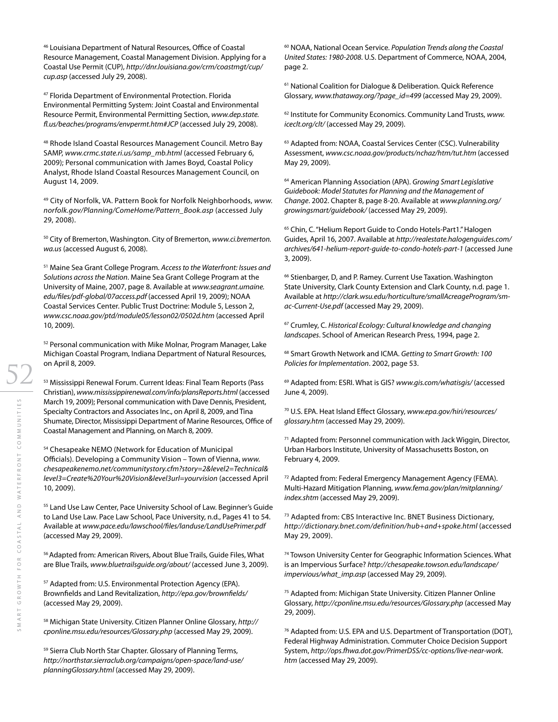46 Louisiana Department of Natural Resources, Office of Coastal Resource Management, Coastal Management Division. Applying for a Coastal Use Permit (CUP), *http://dnr.louisiana.gov/crm/coastmgt/cup/ cup.asp* (accessed July 29, 2008).

47 Florida Department of Environmental Protection. Florida Environmental Permitting System: Joint Coastal and Environmental Resource Permit, Environmental Permitting Section, *www.dep.state. fl.us/beaches/programs/envpermt.htm#JCP* (accessed July 29, 2008).

48 Rhode Island Coastal Resources Management Council. Metro Bay SAMP, *www.crmc.state.ri.us/samp\_mb.html* (accessed February 6, 2009); Personal communication with James Boyd, Coastal Policy Analyst, Rhode Island Coastal Resources Management Council, on August 14, 2009.

49 City of Norfolk, VA. Pattern Book for Norfolk Neighborhoods, *www. norfolk.gov/Planning/ComeHome/Pattern\_Book.asp* (accessed July 29, 2008).

50 City of Bremerton, Washington. City of Bremerton, *www.ci.bremerton. wa.us* (accessed August 6, 2008).

51 Maine Sea Grant College Program. *Access to the Waterfront: Issues and Solutions across the Nation*. Maine Sea Grant College Program at the University of Maine, 2007, page 8. Available at *www.seagrant.umaine. edu/files/pdf-global/07access.pdf* (accessed April 19, 2009); NOAA Coastal Services Center. Public Trust Doctrine: Module 5, Lesson 2, *www.csc.noaa.gov/ptd/module05/lesson02/0502d.htm* (accessed April 10, 2009).

52 Personal communication with Mike Molnar, Program Manager, Lake Michigan Coastal Program, Indiana Department of Natural Resources, on April 8, 2009.

53 Mississippi Renewal Forum. Current Ideas: Final Team Reports (Pass Christian), *www.mississippirenewal.com/info/plansReports.html* (accessed March 19, 2009); Personal communication with Dave Dennis, President, Specialty Contractors and Associates Inc., on April 8, 2009, and Tina Shumate, Director, Mississippi Department of Marine Resources, Office of Coastal Management and Planning, on March 8, 2009.

54 Chesapeake NEMO (Network for Education of Municipal Officials). Developing a Community Vision – Town of Vienna, *www. chesapeakenemo.net/communitystory.cfm?story=2&level2=Technical& level3=Create%20Your%20Vision&level3url=yourvision* (accessed April 10, 2009).

<sup>55</sup> Land Use Law Center, Pace University School of Law. Beginner's Guide to Land Use Law. Pace Law School, Pace University, n.d., Pages 41 to 54. Available at *www.pace.edu/lawschool/files/landuse/LandUsePrimer.pdf* (accessed May 29, 2009).

56 Adapted from: American Rivers, About Blue Trails, Guide Files, What are Blue Trails, *www.bluetrailsguide.org/about/* (accessed June 3, 2009).

57 Adapted from: U.S. Environmental Protection Agency (EPA). Brownfields and Land Revitalization, *http://epa.gov/brownfields/* (accessed May 29, 2009).

58 Michigan State University. Citizen Planner Online Glossary, *http:// cponline.msu.edu/resources/Glossary.php* (accessed May 29, 2009).

59 Sierra Club North Star Chapter. Glossary of Planning Terms, *http://northstar.sierraclub.org/campaigns/open-space/land-use/ planningGlossary.html* (accessed May 29, 2009).

60 NOAA, National Ocean Service. *Population Trends along the Coastal United States: 1980-2008*. U.S. Department of Commerce, NOAA, 2004, page 2.

61 National Coalition for Dialogue & Deliberation. Quick Reference Glossary, *www.thataway.org/?page\_id=499* (accessed May 29, 2009).

62 Institute for Community Economics. Community Land Trusts, *www. iceclt.org/clt/* (accessed May 29, 2009).

<sup>63</sup> Adapted from: NOAA, Coastal Services Center (CSC). Vulnerability Assessment, *www.csc.noaa.gov/products/nchaz/htm/tut.htm* (accessed May 29, 2009).

64 American Planning Association (APA). *Growing Smart Legislative Guidebook: Model Statutes for Planning and the Management of Change*. 2002. Chapter 8, page 8-20. Available at *www.planning.org/ growingsmart/guidebook/* (accessed May 29, 2009).

65 Chin, C. "Helium Report Guide to Condo Hotels-Part1." Halogen Guides, April 16, 2007. Available at *http://realestate.halogenguides.com/ archives/641-helium-report-guide-to-condo-hotels-part-1* (accessed June 3, 2009).

<sup>66</sup> Stienbarger, D, and P. Ramey. Current Use Taxation. Washington State University, Clark County Extension and Clark County, n.d. page 1. Available at *http://clark.wsu.edu/horticulture/smallAcreageProgram/smac-Current-Use.pdf* (accessed May 29, 2009).

67 Crumley, C. *Historical Ecology: Cultural knowledge and changing landscapes*. School of American Research Press, 1994, page 2.

68 Smart Growth Network and ICMA. *Getting to Smart Growth: 100 Policies for Implementation*. 2002, page 53.

69 Adapted from: ESRI. What is GIS? *www.gis.com/whatisgis/* (accessed June 4, 2009).

70 U.S. EPA. Heat Island Effect Glossary, *www.epa.gov/hiri/resources/ glossary.htm* (accessed May 29, 2009).

<sup>71</sup> Adapted from: Personnel communication with Jack Wiggin, Director, Urban Harbors Institute, University of Massachusetts Boston, on February 4, 2009.

72 Adapted from: Federal Emergency Management Agency (FEMA). Multi-Hazard Mitigation Planning, *www.fema.gov/plan/mitplanning/ index.shtm* (accessed May 29, 2009).

73 Adapted from: CBS Interactive Inc. BNET Business Dictionary, *http://dictionary.bnet.com/definition/hub+and+spoke.html* (accessed May 29, 2009).

74 Towson University Center for Geographic Information Sciences. What is an Impervious Surface? *http://chesapeake.towson.edu/landscape/ impervious/what\_imp.asp* (accessed May 29, 2009).

75 Adapted from: Michigan State University. Citizen Planner Online Glossary, *http://cponline.msu.edu/resources/Glossary.php* (accessed May 29, 2009).

76 Adapted from: U.S. EPA and U.S. Department of Transportation (DOT), Federal Highway Administration. Commuter Choice Decision Support System, *http://ops.fhwa.dot.gov/PrimerDSS/cc-options/live-near-work. htm* (accessed May 29, 2009).